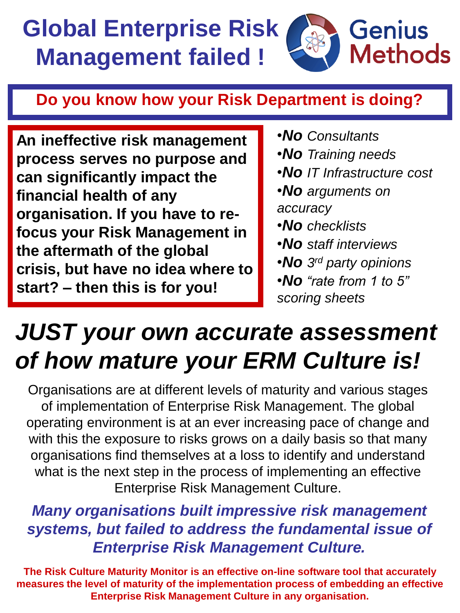## **Global Enterprise Risk Management failed !**



## **Do you know how your Risk Department is doing?**

**An ineffective risk management process serves no purpose and can significantly impact the financial health of any organisation. If you have to refocus your Risk Management in the aftermath of the global crisis, but have no idea where to start? – then this is for you!**

- •*No Consultants*
- •*No Training needs*
- •*No IT Infrastructure cost*
- •*No arguments on accuracy*
- •*No checklists*
- •*No staff interviews*
- •*No 3 rd party opinions*
- •*No "rate from 1 to 5" scoring sheets*

## *JUST your own accurate assessment of how mature your ERM Culture is!*

Organisations are at different levels of maturity and various stages of implementation of Enterprise Risk Management. The global operating environment is at an ever increasing pace of change and with this the exposure to risks grows on a daily basis so that many organisations find themselves at a loss to identify and understand what is the next step in the process of implementing an effective Enterprise Risk Management Culture.

## *Many organisations built impressive risk management systems, but failed to address the fundamental issue of Enterprise Risk Management Culture.*

**The Risk Culture Maturity Monitor is an effective on-line software tool that accurately measures the level of maturity of the implementation process of embedding an effective Enterprise Risk Management Culture in any organisation.**